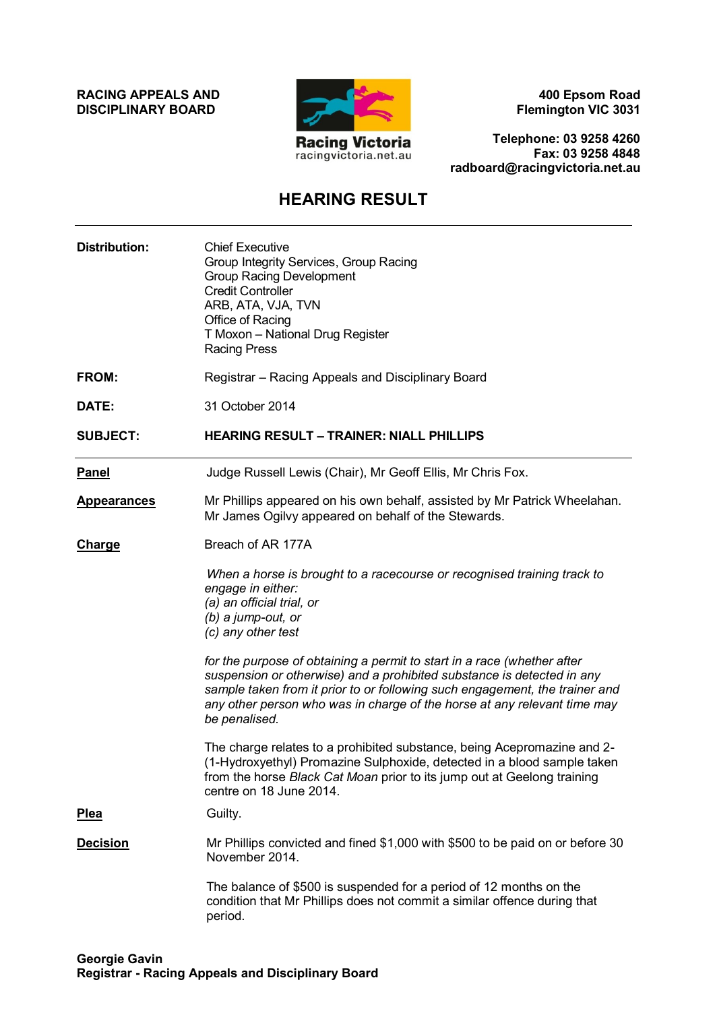**RACING APPEALS AND DISCIPLINARY BOARD**



**400 Epsom Road Flemington VIC 3031**

**Telephone: 03 9258 4260 Fax: 03 9258 4848 radboard@racingvictoria.net.au**

## **HEARING RESULT**

| <b>Distribution:</b> | <b>Chief Executive</b><br>Group Integrity Services, Group Racing<br><b>Group Racing Development</b><br><b>Credit Controller</b><br>ARB, ATA, VJA, TVN<br>Office of Racing<br>T Moxon - National Drug Register<br><b>Racing Press</b>                                                                                          |
|----------------------|-------------------------------------------------------------------------------------------------------------------------------------------------------------------------------------------------------------------------------------------------------------------------------------------------------------------------------|
| <b>FROM:</b>         | Registrar - Racing Appeals and Disciplinary Board                                                                                                                                                                                                                                                                             |
| DATE:                | 31 October 2014                                                                                                                                                                                                                                                                                                               |
| <b>SUBJECT:</b>      | <b>HEARING RESULT - TRAINER: NIALL PHILLIPS</b>                                                                                                                                                                                                                                                                               |
| <b>Panel</b>         | Judge Russell Lewis (Chair), Mr Geoff Ellis, Mr Chris Fox.                                                                                                                                                                                                                                                                    |
| <b>Appearances</b>   | Mr Phillips appeared on his own behalf, assisted by Mr Patrick Wheelahan.<br>Mr James Ogilvy appeared on behalf of the Stewards.                                                                                                                                                                                              |
| <b>Charge</b>        | Breach of AR 177A                                                                                                                                                                                                                                                                                                             |
|                      | When a horse is brought to a racecourse or recognised training track to<br>engage in either:<br>(a) an official trial, or<br>$(b)$ a jump-out, or<br>(c) any other test                                                                                                                                                       |
|                      | for the purpose of obtaining a permit to start in a race (whether after<br>suspension or otherwise) and a prohibited substance is detected in any<br>sample taken from it prior to or following such engagement, the trainer and<br>any other person who was in charge of the horse at any relevant time may<br>be penalised. |
|                      | The charge relates to a prohibited substance, being Acepromazine and 2-<br>(1-Hydroxyethyl) Promazine Sulphoxide, detected in a blood sample taken<br>from the horse Black Cat Moan prior to its jump out at Geelong training<br>centre on 18 June 2014.                                                                      |
| Plea                 | Guilty.                                                                                                                                                                                                                                                                                                                       |
| <b>Decision</b>      | Mr Phillips convicted and fined \$1,000 with \$500 to be paid on or before 30<br>November 2014.                                                                                                                                                                                                                               |
|                      | The balance of \$500 is suspended for a period of 12 months on the<br>condition that Mr Phillips does not commit a similar offence during that<br>period.                                                                                                                                                                     |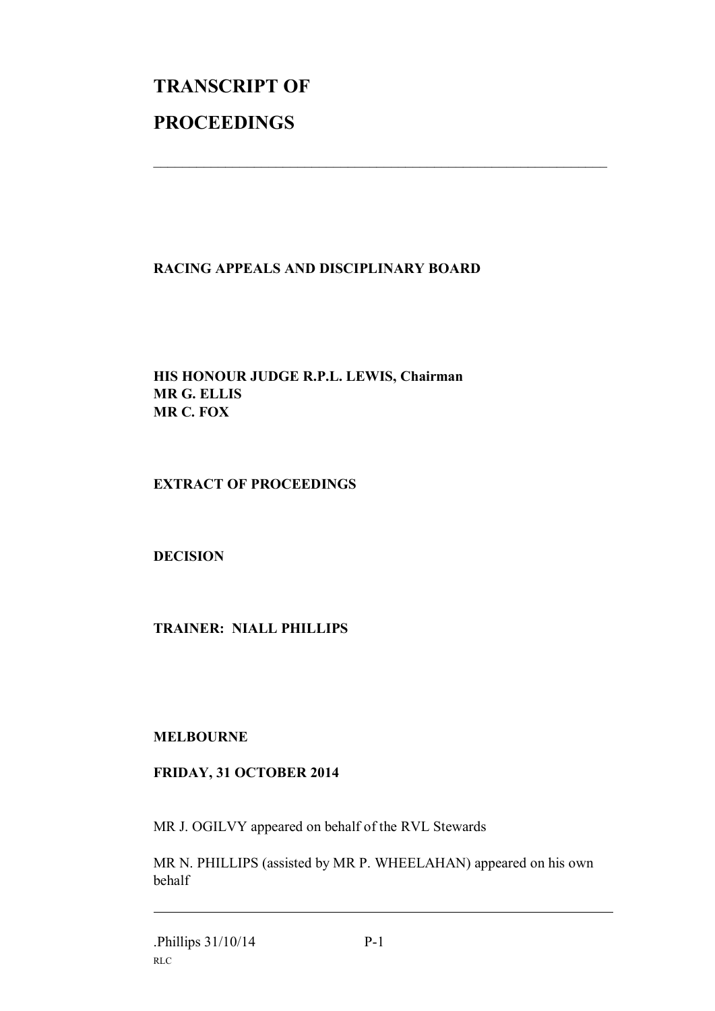# **TRANSCRIPT OF PROCEEDINGS**

### **RACING APPEALS AND DISCIPLINARY BOARD**

 $\mathcal{L}_\text{max}$  , and the contribution of the contribution of the contribution of the contribution of the contribution of the contribution of the contribution of the contribution of the contribution of the contribution of t

**HIS HONOUR JUDGE R.P.L. LEWIS, Chairman MR G. ELLIS MR C. FOX**

### **EXTRACT OF PROCEEDINGS**

**DECISION**

**TRAINER: NIALL PHILLIPS**

### **MELBOURNE**

### **FRIDAY, 31 OCTOBER 2014**

MR J. OGILVY appeared on behalf of the RVL Stewards

MR N. PHILLIPS (assisted by MR P. WHEELAHAN) appeared on his own behalf